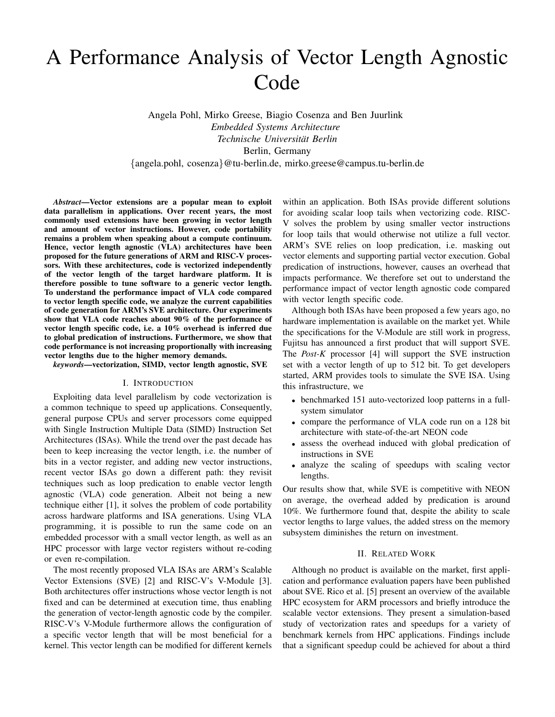# A Performance Analysis of Vector Length Agnostic **Code**

Angela Pohl, Mirko Greese, Biagio Cosenza and Ben Juurlink *Embedded Systems Architecture Technische Universitat Berlin ¨* Berlin, Germany {angela.pohl, cosenza}@tu-berlin.de, mirko.greese@campus.tu-berlin.de

*Abstract*—Vector extensions are a popular mean to exploit data parallelism in applications. Over recent years, the most commonly used extensions have been growing in vector length and amount of vector instructions. However, code portability remains a problem when speaking about a compute continuum. Hence, vector length agnostic (VLA) architectures have been proposed for the future generations of ARM and RISC-V processors. With these architectures, code is vectorized independently of the vector length of the target hardware platform. It is therefore possible to tune software to a generic vector length. To understand the performance impact of VLA code compared to vector length specific code, we analyze the current capabilities of code generation for ARM's SVE architecture. Our experiments show that VLA code reaches about 90% of the performance of vector length specific code, i.e. a 10% overhead is inferred due to global predication of instructions. Furthermore, we show that code performance is not increasing proportionally with increasing vector lengths due to the higher memory demands.

*keywords*—vectorization, SIMD, vector length agnostic, SVE

#### I. INTRODUCTION

Exploiting data level parallelism by code vectorization is a common technique to speed up applications. Consequently, general purpose CPUs and server processors come equipped with Single Instruction Multiple Data (SIMD) Instruction Set Architectures (ISAs). While the trend over the past decade has been to keep increasing the vector length, i.e. the number of bits in a vector register, and adding new vector instructions, recent vector ISAs go down a different path: they revisit techniques such as loop predication to enable vector length agnostic (VLA) code generation. Albeit not being a new technique either [1], it solves the problem of code portability across hardware platforms and ISA generations. Using VLA programming, it is possible to run the same code on an embedded processor with a small vector length, as well as an HPC processor with large vector registers without re-coding or even re-compilation.

The most recently proposed VLA ISAs are ARM's Scalable Vector Extensions (SVE) [2] and RISC-V's V-Module [3]. Both architectures offer instructions whose vector length is not fixed and can be determined at execution time, thus enabling the generation of vector-length agnostic code by the compiler. RISC-V's V-Module furthermore allows the configuration of a specific vector length that will be most beneficial for a kernel. This vector length can be modified for different kernels

within an application. Both ISAs provide different solutions for avoiding scalar loop tails when vectorizing code. RISC-V solves the problem by using smaller vector instructions for loop tails that would otherwise not utilize a full vector. ARM's SVE relies on loop predication, i.e. masking out vector elements and supporting partial vector execution. Gobal predication of instructions, however, causes an overhead that impacts performance. We therefore set out to understand the performance impact of vector length agnostic code compared with vector length specific code.

Although both ISAs have been proposed a few years ago, no hardware implementation is available on the market yet. While the specifications for the V-Module are still work in progress, Fujitsu has announced a first product that will support SVE. The *Post-K* processor [4] will support the SVE instruction set with a vector length of up to 512 bit. To get developers started, ARM provides tools to simulate the SVE ISA. Using this infrastructure, we

- benchmarked 151 auto-vectorized loop patterns in a fullsystem simulator
- compare the performance of VLA code run on a 128 bit architecture with state-of-the-art NEON code
- assess the overhead induced with global predication of instructions in SVE
- analyze the scaling of speedups with scaling vector lengths.

Our results show that, while SVE is competitive with NEON on average, the overhead added by predication is around 10%. We furthermore found that, despite the ability to scale vector lengths to large values, the added stress on the memory subsystem diminishes the return on investment.

## II. RELATED WORK

Although no product is available on the market, first application and performance evaluation papers have been published about SVE. Rico et al. [5] present an overview of the available HPC ecosystem for ARM processors and briefly introduce the scalable vector extensions. They present a simulation-based study of vectorization rates and speedups for a variety of benchmark kernels from HPC applications. Findings include that a significant speedup could be achieved for about a third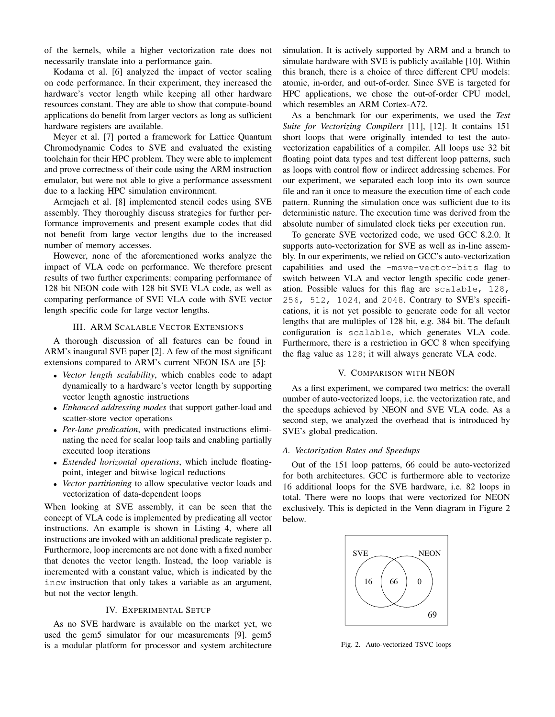of the kernels, while a higher vectorization rate does not necessarily translate into a performance gain.

Kodama et al. [6] analyzed the impact of vector scaling on code performance. In their experiment, they increased the hardware's vector length while keeping all other hardware resources constant. They are able to show that compute-bound applications do benefit from larger vectors as long as sufficient hardware registers are available.

Meyer et al. [7] ported a framework for Lattice Quantum Chromodynamic Codes to SVE and evaluated the existing toolchain for their HPC problem. They were able to implement and prove correctness of their code using the ARM instruction emulator, but were not able to give a performance assessment due to a lacking HPC simulation environment.

Armejach et al. [8] implemented stencil codes using SVE assembly. They thoroughly discuss strategies for further performance improvements and present example codes that did not benefit from large vector lengths due to the increased number of memory accesses.

However, none of the aforementioned works analyze the impact of VLA code on performance. We therefore present results of two further experiments: comparing performance of 128 bit NEON code with 128 bit SVE VLA code, as well as comparing performance of SVE VLA code with SVE vector length specific code for large vector lengths.

## III. ARM SCALABLE VECTOR EXTENSIONS

A thorough discussion of all features can be found in ARM's inaugural SVE paper [2]. A few of the most significant extensions compared to ARM's current NEON ISA are [5]:

- *Vector length scalability*, which enables code to adapt dynamically to a hardware's vector length by supporting vector length agnostic instructions
- *Enhanced addressing modes* that support gather-load and scatter-store vector operations
- *Per-lane predication*, with predicated instructions eliminating the need for scalar loop tails and enabling partially executed loop iterations
- *Extended horizontal operations*, which include floatingpoint, integer and bitwise logical reductions
- *Vector partitioning* to allow speculative vector loads and vectorization of data-dependent loops

When looking at SVE assembly, it can be seen that the concept of VLA code is implemented by predicating all vector instructions. An example is shown in Listing 4, where all instructions are invoked with an additional predicate register p. Furthermore, loop increments are not done with a fixed number that denotes the vector length. Instead, the loop variable is incremented with a constant value, which is indicated by the incw instruction that only takes a variable as an argument, but not the vector length.

# IV. EXPERIMENTAL SETUP

As no SVE hardware is available on the market yet, we used the gem5 simulator for our measurements [9]. gem5 is a modular platform for processor and system architecture simulation. It is actively supported by ARM and a branch to simulate hardware with SVE is publicly available [10]. Within this branch, there is a choice of three different CPU models: atomic, in-order, and out-of-order. Since SVE is targeted for HPC applications, we chose the out-of-order CPU model, which resembles an ARM Cortex-A72.

As a benchmark for our experiments, we used the *Test Suite for Vectorizing Compilers* [11], [12]. It contains 151 short loops that were originally intended to test the autovectorization capabilities of a compiler. All loops use 32 bit floating point data types and test different loop patterns, such as loops with control flow or indirect addressing schemes. For our experiment, we separated each loop into its own source file and ran it once to measure the execution time of each code pattern. Running the simulation once was sufficient due to its deterministic nature. The execution time was derived from the absolute number of simulated clock ticks per execution run.

To generate SVE vectorized code, we used GCC 8.2.0. It supports auto-vectorization for SVE as well as in-line assembly. In our experiments, we relied on GCC's auto-vectorization capabilities and used the -msve-vector-bits flag to switch between VLA and vector length specific code generation. Possible values for this flag are scalable, 128, 256, 512, 1024, and 2048. Contrary to SVE's specifications, it is not yet possible to generate code for all vector lengths that are multiples of 128 bit, e.g. 384 bit. The default configuration is scalable, which generates VLA code. Furthermore, there is a restriction in GCC 8 when specifying the flag value as 128; it will always generate VLA code.

## V. COMPARISON WITH NEON

As a first experiment, we compared two metrics: the overall number of auto-vectorized loops, i.e. the vectorization rate, and the speedups achieved by NEON and SVE VLA code. As a second step, we analyzed the overhead that is introduced by SVE's global predication.

#### *A. Vectorization Rates and Speedups*

Out of the 151 loop patterns, 66 could be auto-vectorized for both architectures. GCC is furthermore able to vectorize 16 additional loops for the SVE hardware, i.e. 82 loops in total. There were no loops that were vectorized for NEON exclusively. This is depicted in the Venn diagram in Figure 2 below.



Fig. 2. Auto-vectorized TSVC loops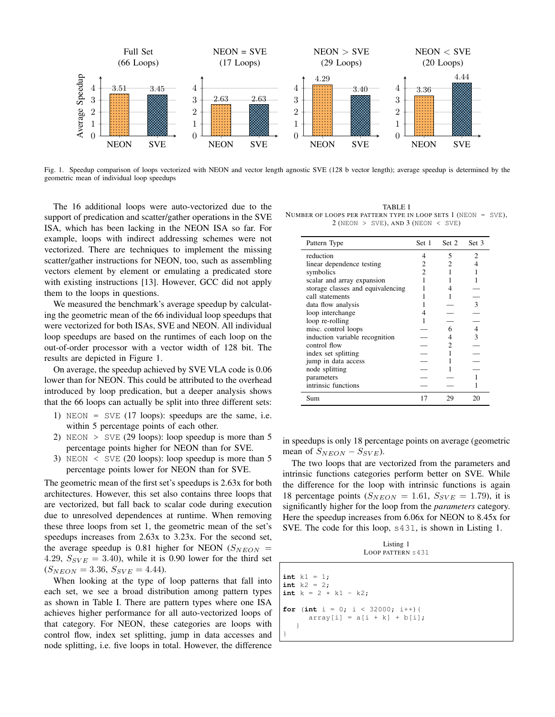

Fig. 1. Speedup comparison of loops vectorized with NEON and vector length agnostic SVE (128 b vector length); average speedup is determined by the geometric mean of individual loop speedups

The 16 additional loops were auto-vectorized due to the support of predication and scatter/gather operations in the SVE ISA, which has been lacking in the NEON ISA so far. For example, loops with indirect addressing schemes were not vectorized. There are techniques to implement the missing scatter/gather instructions for NEON, too, such as assembling vectors element by element or emulating a predicated store with existing instructions [13]. However, GCC did not apply them to the loops in questions.

We measured the benchmark's average speedup by calculating the geometric mean of the 66 individual loop speedups that were vectorized for both ISAs, SVE and NEON. All individual loop speedups are based on the runtimes of each loop on the out-of-order processor with a vector width of 128 bit. The results are depicted in Figure 1.

On average, the speedup achieved by SVE VLA code is 0.06 lower than for NEON. This could be attributed to the overhead introduced by loop predication, but a deeper analysis shows that the 66 loops can actually be split into three different sets:

- 1) NEON =  $SVE$  (17 loops): speedups are the same, i.e. within 5 percentage points of each other.
- 2) NEON  $>$  SVE (29 loops): loop speedup is more than 5 percentage points higher for NEON than for SVE.
- 3) NEON < SVE (20 loops): loop speedup is more than 5 percentage points lower for NEON than for SVE.

The geometric mean of the first set's speedups is 2.63x for both architectures. However, this set also contains three loops that are vectorized, but fall back to scalar code during execution due to unresolved dependences at runtime. When removing these three loops from set 1, the geometric mean of the set's speedups increases from 2.63x to 3.23x. For the second set, the average speedup is 0.81 higher for NEON ( $S_{NEON}$  = 4.29,  $S_{SVE} = 3.40$ , while it is 0.90 lower for the third set  $(S_{NEON} = 3.36, S_{SVE} = 4.44).$ 

When looking at the type of loop patterns that fall into each set, we see a broad distribution among pattern types as shown in Table I. There are pattern types where one ISA achieves higher performance for all auto-vectorized loops of that category. For NEON, these categories are loops with control flow, index set splitting, jump in data accesses and node splitting, i.e. five loops in total. However, the difference

TABLE I NUMBER OF LOOPS PER PATTERN TYPE IN LOOP SETS 1 (NEON = SVE), 2 (NEON > SVE), AND 3 (NEON < SVE)

| Pattern Type                      | Set 1 | Set 2 | Set 3 |
|-----------------------------------|-------|-------|-------|
| reduction                         |       | 5     | 2     |
| linear dependence testing         |       |       |       |
| symbolics                         |       |       |       |
| scalar and array expansion        |       |       |       |
| storage classes and equivalencing |       |       |       |
| call statements                   |       |       |       |
| data flow analysis                |       |       | 3     |
| loop interchange                  |       |       |       |
| loop re-rolling                   |       |       |       |
| misc. control loops               |       |       | 4     |
| induction variable recognition    |       |       | 3     |
| control flow                      |       |       |       |
| index set splitting               |       |       |       |
| jump in data access               |       |       |       |
| node splitting                    |       |       |       |
| parameters                        |       |       |       |
| intrinsic functions               |       |       |       |
| Sum                               | 17    | 29    | 20    |

in speedups is only 18 percentage points on average (geometric mean of  $S_{NEON} - S_{SVE}$ ).

The two loops that are vectorized from the parameters and intrinsic functions categories perform better on SVE. While the difference for the loop with intrinsic functions is again 18 percentage points  $(S_{NEON} = 1.61, S_{SVE} = 1.79)$ , it is significantly higher for the loop from the *parameters* category. Here the speedup increases from 6.06x for NEON to 8.45x for SVE. The code for this loop, s431, is shown in Listing 1.

Listing 1 LOOP PATTERN S431

```
int k1 = 1;
int k2 = 2;
int k = 2 * k1 - k2;
for (int i = 0; i < 32000; i++) {
      array[i] = a[i + k] + b[i];}
}
```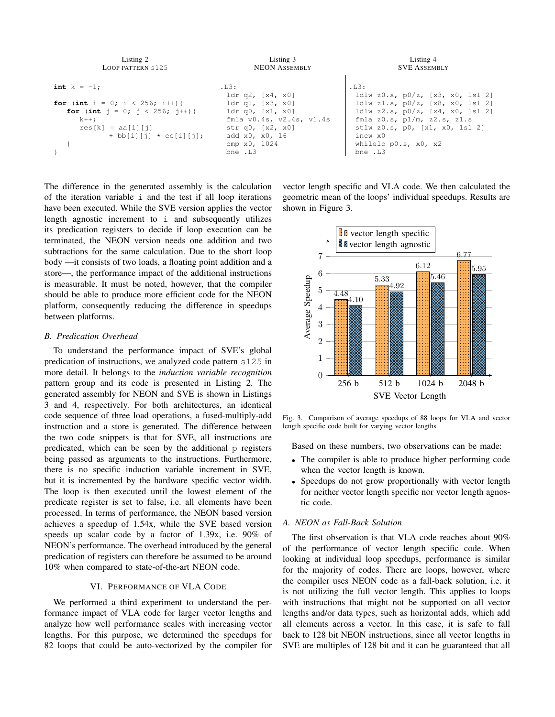| Listing 2<br>LOOP PATTERN \$125                 | Listing 3<br><b>NEON ASSEMBLY</b> | Listing 4<br><b>SVE ASSEMBLY</b>       |
|-------------------------------------------------|-----------------------------------|----------------------------------------|
| $int k = -1;$                                   | .L3:                              | .13:                                   |
|                                                 | ldr q2, $[x4, x0]$                | 1dlw z0.s, $p0/z$ , $[x3, x0, 1s1 2]$  |
| for (int i = 0; i < 256; i++){                  | ldr q1, [x3, x0]                  | 1dlw z1.s, $p0/z$ , $[x8, x0, 1s1 2]$  |
| <b>for</b> (int $j = 0$ ; $j < 256$ ; $j++$ ) { | ldr q0, [x1, x0]                  | 1dlw z2.s, $p0/z$ , $[x4, x0, 1s1 2]$  |
| $k++$ :                                         | fmla $v0.4s$ , $v2.4s$ , $v1.4s$  | fmla $z0.s$ , $p1/m$ , $z2.s$ , $z1.s$ |
| $res[k] = aa[i][i]$                             | str q $0$ , $[x2, x0]$            | stlw z0.s, p0, [x1, x0, 1sl 2]         |
| $+$ bb[i][j] $*$ cc[i][j];                      | add x0, x0, 16                    | incw x0                                |
|                                                 | cmp x0, 1024                      | whilelo $p0.s$ , $x0$ , $x2$           |
|                                                 | bne .L3                           | bne .L3                                |

The difference in the generated assembly is the calculation of the iteration variable i and the test if all loop iterations have been executed. While the SVE version applies the vector length agnostic increment to i and subsequently utilizes its predication registers to decide if loop execution can be terminated, the NEON version needs one addition and two subtractions for the same calculation. Due to the short loop body —it consists of two loads, a floating point addition and a store—, the performance impact of the additional instructions is measurable. It must be noted, however, that the compiler should be able to produce more efficient code for the NEON platform, consequently reducing the difference in speedups between platforms.

#### *B. Predication Overhead*

To understand the performance impact of SVE's global predication of instructions, we analyzed code pattern s125 in more detail. It belongs to the *induction variable recognition* pattern group and its code is presented in Listing 2. The generated assembly for NEON and SVE is shown in Listings 3 and 4, respectively. For both architectures, an identical code sequence of three load operations, a fused-multiply-add instruction and a store is generated. The difference between the two code snippets is that for SVE, all instructions are predicated, which can be seen by the additional p registers being passed as arguments to the instructions. Furthermore, there is no specific induction variable increment in SVE, but it is incremented by the hardware specific vector width. The loop is then executed until the lowest element of the predicate register is set to false, i.e. all elements have been processed. In terms of performance, the NEON based version achieves a speedup of 1.54x, while the SVE based version speeds up scalar code by a factor of 1.39x, i.e. 90% of NEON's performance. The overhead introduced by the general predication of registers can therefore be assumed to be around 10% when compared to state-of-the-art NEON code.

# VI. PERFORMANCE OF VLA CODE

We performed a third experiment to understand the performance impact of VLA code for larger vector lengths and analyze how well performance scales with increasing vector lengths. For this purpose, we determined the speedups for 82 loops that could be auto-vectorized by the compiler for

vector length specific and VLA code. We then calculated the geometric mean of the loops' individual speedups. Results are shown in Figure 3.



Fig. 3. Comparison of average speedups of 88 loops for VLA and vector length specific code built for varying vector lengths

Based on these numbers, two observations can be made:

- The compiler is able to produce higher performing code when the vector length is known.
- Speedups do not grow proportionally with vector length for neither vector length specific nor vector length agnostic code.

# *A. NEON as Fall-Back Solution*

The first observation is that VLA code reaches about 90% of the performance of vector length specific code. When looking at individual loop speedups, performance is similar for the majority of codes. There are loops, however, where the compiler uses NEON code as a fall-back solution, i.e. it is not utilizing the full vector length. This applies to loops with instructions that might not be supported on all vector lengths and/or data types, such as horizontal adds, which add all elements across a vector. In this case, it is safe to fall back to 128 bit NEON instructions, since all vector lengths in SVE are multiples of 128 bit and it can be guaranteed that all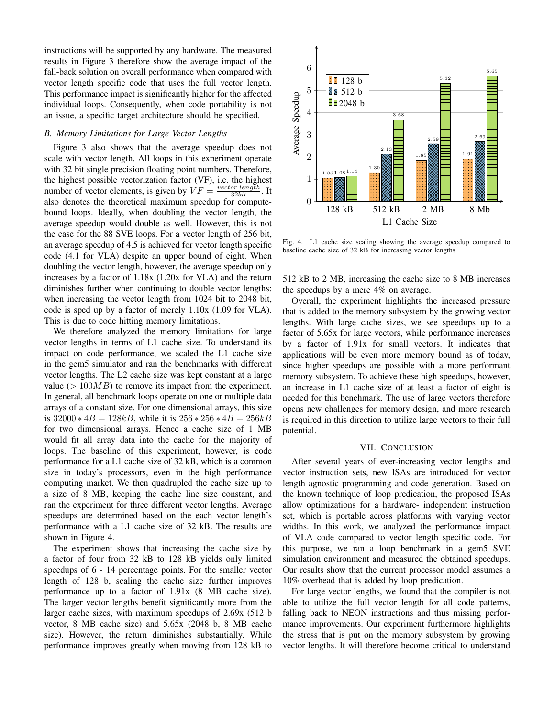instructions will be supported by any hardware. The measured results in Figure 3 therefore show the average impact of the fall-back solution on overall performance when compared with vector length specific code that uses the full vector length. This performance impact is significantly higher for the affected individual loops. Consequently, when code portability is not an issue, a specific target architecture should be specified.

# *B. Memory Limitations for Large Vector Lengths*

Figure 3 also shows that the average speedup does not scale with vector length. All loops in this experiment operate with 32 bit single precision floating point numbers. Therefore, the highest possible vectorization factor (VF), i.e. the highest number of vector elements, is given by  $VF = \frac{vector\ length}{32bit}$ . It also denotes the theoretical maximum speedup for computebound loops. Ideally, when doubling the vector length, the average speedup would double as well. However, this is not the case for the 88 SVE loops. For a vector length of 256 bit, an average speedup of 4.5 is achieved for vector length specific code (4.1 for VLA) despite an upper bound of eight. When doubling the vector length, however, the average speedup only increases by a factor of 1.18x (1.20x for VLA) and the return diminishes further when continuing to double vector lengths: when increasing the vector length from 1024 bit to 2048 bit, code is sped up by a factor of merely 1.10x (1.09 for VLA). This is due to code hitting memory limitations.

We therefore analyzed the memory limitations for large vector lengths in terms of L1 cache size. To understand its impact on code performance, we scaled the L1 cache size in the gem5 simulator and ran the benchmarks with different vector lengths. The L2 cache size was kept constant at a large value ( $> 100MB$ ) to remove its impact from the experiment. In general, all benchmark loops operate on one or multiple data arrays of a constant size. For one dimensional arrays, this size is  $32000 * 4B = 128kB$ , while it is  $256 * 256 * 4B = 256kB$ for two dimensional arrays. Hence a cache size of 1 MB would fit all array data into the cache for the majority of loops. The baseline of this experiment, however, is code performance for a L1 cache size of 32 kB, which is a common size in today's processors, even in the high performance computing market. We then quadrupled the cache size up to a size of 8 MB, keeping the cache line size constant, and ran the experiment for three different vector lengths. Average speedups are determined based on the each vector length's performance with a L1 cache size of 32 kB. The results are shown in Figure 4.

The experiment shows that increasing the cache size by a factor of four from 32 kB to 128 kB yields only limited speedups of 6 - 14 percentage points. For the smaller vector length of 128 b, scaling the cache size further improves performance up to a factor of 1.91x (8 MB cache size). The larger vector lengths benefit significantly more from the larger cache sizes, with maximum speedups of 2.69x (512 b vector, 8 MB cache size) and 5.65x (2048 b, 8 MB cache size). However, the return diminishes substantially. While performance improves greatly when moving from 128 kB to



Fig. 4. L1 cache size scaling showing the average speedup compared to baseline cache size of 32 kB for increasing vector lengths

512 kB to 2 MB, increasing the cache size to 8 MB increases the speedups by a mere 4% on average.

Overall, the experiment highlights the increased pressure that is added to the memory subsystem by the growing vector lengths. With large cache sizes, we see speedups up to a factor of 5.65x for large vectors, while performance increases by a factor of 1.91x for small vectors. It indicates that applications will be even more memory bound as of today, since higher speedups are possible with a more performant memory subsystem. To achieve these high speedups, however, an increase in L1 cache size of at least a factor of eight is needed for this benchmark. The use of large vectors therefore opens new challenges for memory design, and more research is required in this direction to utilize large vectors to their full potential.

# VII. CONCLUSION

After several years of ever-increasing vector lengths and vector instruction sets, new ISAs are introduced for vector length agnostic programming and code generation. Based on the known technique of loop predication, the proposed ISAs allow optimizations for a hardware- independent instruction set, which is portable across platforms with varying vector widths. In this work, we analyzed the performance impact of VLA code compared to vector length specific code. For this purpose, we ran a loop benchmark in a gem5 SVE simulation environment and measured the obtained speedups. Our results show that the current processor model assumes a 10% overhead that is added by loop predication.

For large vector lengths, we found that the compiler is not able to utilize the full vector length for all code patterns, falling back to NEON instructions and thus missing performance improvements. Our experiment furthermore highlights the stress that is put on the memory subsystem by growing vector lengths. It will therefore become critical to understand